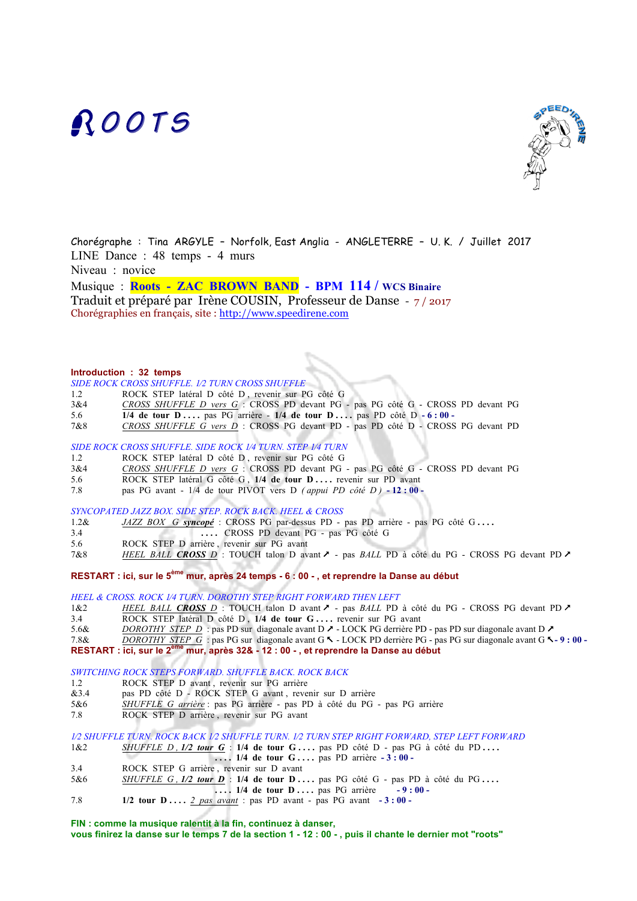# **ROOTS**



Chorégraphe : Tina ARGYLE – Norfolk, East Anglia - ANGLETERRE – U. K. / Juillet 2017 LINE Dance : 48 temps - 4 murs Niveau : novice

Musique : **Roots - ZAC BROWN BAND - BPM 114 / WCS Binaire**  Traduit et préparé par Irène COUSIN, Professeur de Danse - 7 / 2017 Chorégraphies en français, site : http://www.speedirene.com

#### **Introduction : 32 temps**

#### *SIDE ROCK CROSS SHUFFLE. 1⁄2 TURN CROSS SHUFFLE*

- 1.2 ROCK STEP latéral D côté D , revenir sur PG côté G
- 3&4 *CROSS SHUFFLE D vers G* :CROSS PD devant PG pas PG côté G CROSS PD devant PG
- 5.6 **1/4 de tour D . . . .** pas PG arrière **1/4 de tour D . . . .** pas PD côté D **- 6 : 00**
- 7&8 *CROSS SHUFFLE G vers D* :CROSS PG devant PD pas PD côté D CROSS PG devant PD

#### *SIDE ROCK CROSS SHUFFLE. SIDE ROCK 1⁄4 TURN. STEP 1⁄4 TURN*

- 1.2 ROCK STEP latéral D côté D , revenir sur PG côté G
- 3&4 *CROSS SHUFFLE D vers G* :CROSS PD devant PG pas PG côté G CROSS PD devant PG
- 5.6 ROCK STEP latéral G côté G , **1/4 de tour D . . . .** revenir sur PD avant
- 7.8 pas PG avant 1/4 de tour PIVOT vers D *( appui PD côté D )* **- 12 : 00**

*SYNCOPATED JAZZ BOX. SIDE STEP. ROCK BACK. HEEL & CROSS*

- 1.2& *JAZZ BOX G syncopé* : CROSS PG par-dessus PD pas PD arrière pas PG côté G **. . . .**
- 3.4 **. . . .** CROSS PD devant PG pas PG côté G
- 5.6 ROCK STEP D arrière , revenir sur PG avant
- 7&8 *HEEL BALL CROSS D* : TOUCH talon D avant & pas *BALL* PD à côté du PG CROSS PG devant PD &

#### **RESTART : ici, sur le 5ème mur, après 24 temps - 6 : 00 - , et reprendre la Danse au début**

*HEEL & CROSS. ROCK 1⁄4 TURN. DOROTHY STEP RIGHT FORWARD THEN LEFT*

1&2 *HEEL BALL CROSS D* : TOUCH talon D avant ♪ - pas *BALL* PD à côté du PG - CROSS PG devant PD ♪ 3.4 ROCK STEP latéral D côté D , **1/4 de tour G . . . .** revenir sur PG avant

5.6& *DOROTHY STEP D* : pas PD sur diagonale avant D  $\lambda$  - LOCK PG derrière PD - pas PD sur diagonale avant D  $\lambda$ 

7.8& *DOROTHY STEP G* : pas PG sur diagonale avant G % - LOCK PD derrière PG - pas PG sur diagonale avant G %**- 9 : 00 - RESTART : ici, sur le 2ème mur, après 32& - 12 : 00 - , et reprendre la Danse au début**

*SWITCHING ROCK STEPS FORWARD. SHUFFLE BACK. ROCK BACK*

- 1.2 ROCK STEP D avant , revenir sur PG arrière
- &3.4 pas PD côté D ROCK STEP G avant , revenir sur D arrière
- 5&6 *SHUFFLE G arrière* : pas PG arrière pas PD à côté du PG pas PG arrière
- 7.8 ROCK STEP D arrière , revenir sur PG avant

*1⁄2 SHUFFLE TURN. ROCK BACK 1⁄2 SHUFFLE TURN. 1⁄2 TURN STEP RIGHT FORWARD, STEP LEFT FORWARD* 1&2 *SHUFFLE D , 1/2 tour G* : 1/4 de tour G ... . pas PD côté D - pas PG à côté du PD ... .

- **. . . . 1/4 de tour G . . . .** pas PD arrière **- 3 : 00**
- 3.4 ROCK STEP G arrière , revenir sur D avant
- 5&6 *SHUFFLE G , 1/2 tour D* : 1/4 de tour D .... pas PG côté G pas PD à côté du PG ....
- **1.14 de tour D ....** pas PG arrière -9:00 -
- 7.8 **1/2 tour D . . . .** *2 pas avant* : pas PD avant pas PG avant **- 3 : 00**

**FIN : comme la musique ralentit à la fin, continuez à danser,** 

**vous finirez la danse sur le temps 7 de la section 1 - 12 : 00 - , puis il chante le dernier mot "roots"**